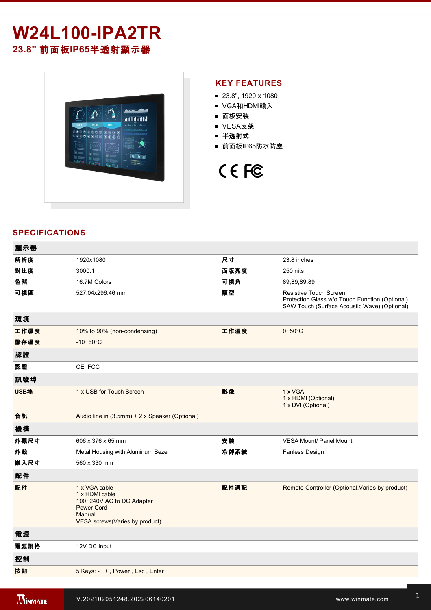# **W24L100-IPA2TR**

**23.8"** 前面板**IP65**半透射顯示器



#### **KEY FEATURES**

- 23.8", 1920 x 1080
- VGA和HDMI輸入
- 面板安裝
- VESA支架
- 半透射式
- 前面板IP65防水防塵

## CE FC

#### **SPECIFICATIONS**

| 顯示器  |                                                                                                                               |      |                                                                                                                                 |
|------|-------------------------------------------------------------------------------------------------------------------------------|------|---------------------------------------------------------------------------------------------------------------------------------|
| 解析度  | 1920x1080                                                                                                                     | 尺寸   | 23.8 inches                                                                                                                     |
| 對比度  | 3000:1                                                                                                                        | 面版亮度 | 250 nits                                                                                                                        |
| 色階   | 16.7M Colors                                                                                                                  | 可視角  | 89,89,89,89                                                                                                                     |
| 可視區  | 527.04x296.46 mm                                                                                                              | 類型   | <b>Resistive Touch Screen</b><br>Protection Glass w/o Touch Function (Optional)<br>SAW Touch (Surface Acoustic Wave) (Optional) |
| 環境   |                                                                                                                               |      |                                                                                                                                 |
| 工作濕度 | 10% to 90% (non-condensing)                                                                                                   | 工作溫度 | $0 - 50$ °C                                                                                                                     |
| 儲存溫度 | $-10 - 60^{\circ}C$                                                                                                           |      |                                                                                                                                 |
| 認證   |                                                                                                                               |      |                                                                                                                                 |
| 認證   | CE, FCC                                                                                                                       |      |                                                                                                                                 |
| 訊號埠  |                                                                                                                               |      |                                                                                                                                 |
| USB埠 | 1 x USB for Touch Screen                                                                                                      | 影像   | 1 x VGA<br>1 x HDMI (Optional)<br>1 x DVI (Optional)                                                                            |
| 音訊   | Audio line in (3.5mm) + 2 x Speaker (Optional)                                                                                |      |                                                                                                                                 |
| 機構   |                                                                                                                               |      |                                                                                                                                 |
| 外觀尺寸 | 606 x 376 x 65 mm                                                                                                             | 安装   | <b>VESA Mount/ Panel Mount</b>                                                                                                  |
| 外殼   | Metal Housing with Aluminum Bezel                                                                                             | 冷卻系統 | <b>Fanless Design</b>                                                                                                           |
| 嵌入尺寸 | 560 x 330 mm                                                                                                                  |      |                                                                                                                                 |
| 配件   |                                                                                                                               |      |                                                                                                                                 |
| 配件   | 1 x VGA cable<br>1 x HDMI cable<br>100~240V AC to DC Adapter<br><b>Power Cord</b><br>Manual<br>VESA screws(Varies by product) | 配件選配 | Remote Controller (Optional, Varies by product)                                                                                 |
| 電源   |                                                                                                                               |      |                                                                                                                                 |
| 電源規格 | 12V DC input                                                                                                                  |      |                                                                                                                                 |
| 控制   |                                                                                                                               |      |                                                                                                                                 |
| 按鈕   | 5 Keys: -, +, Power, Esc, Enter                                                                                               |      |                                                                                                                                 |
|      |                                                                                                                               |      |                                                                                                                                 |

windows and water was a state with the state with the state with the state with the state with the state with the